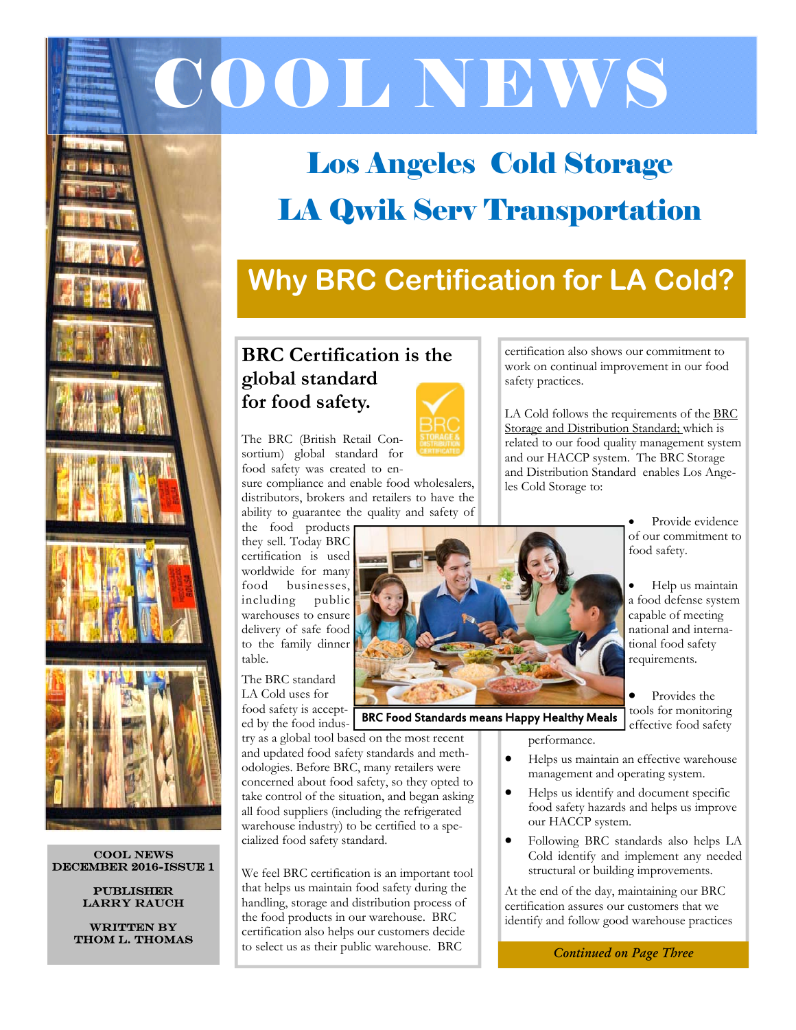



# **Why BRC Certification for LA Cold?**

## **BRC Certification is the global standard for food safety.**

The BRC (British Retail Consortium) global standard for food safety was created to en-

sure compliance and enable food wholesalers, distributors, brokers and retailers to have the ability to guarantee the quality and safety of

the food products they sell. Today BRC certification is used worldwide for many food businesses, including public warehouses to ensure delivery of safe food to the family dinner

food safety is accepted by the food indus-

try as a global tool based on the most recent and updated food safety standards and methodologies. Before BRC, many retailers were concerned about food safety, so they opted to take control of the situation, and began asking all food suppliers (including the refrigerated warehouse industry) to be certified to a specialized food safety standard.

We feel BRC certification is an important tool that helps us maintain food safety during the handling, storage and distribution process of the food products in our warehouse. BRC certification also helps our customers decide to select us as their public warehouse. BRC *Continued on Page Three* 

certification also shows our commitment to work on continual improvement in our food safety practices.

LA Cold follows the requirements of the BRC Storage and Distribution Standard; which is related to our food quality management system and our HACCP system. The BRC Storage and Distribution Standard enables Los Angeles Cold Storage to:

> Provide evidence of our commitment to food safety.

 Help us maintain a food defense system capable of meeting national and international food safety requirements.

 Provides the tools for monitoring effective food safety

performance.

BRC Food Standards means Happy Healthy Meals

- Helps us maintain an effective warehouse management and operating system.
- Helps us identify and document specific food safety hazards and helps us improve our HACCP system.
- Following BRC standards also helps LA Cold identify and implement any needed structural or building improvements.

At the end of the day, maintaining our BRC certification assures our customers that we identify and follow good warehouse practices



Cool News DECEMBER 2016-Issue 1

> Publisher Larry Rauch

WRITTEN BY Thom L. Thomas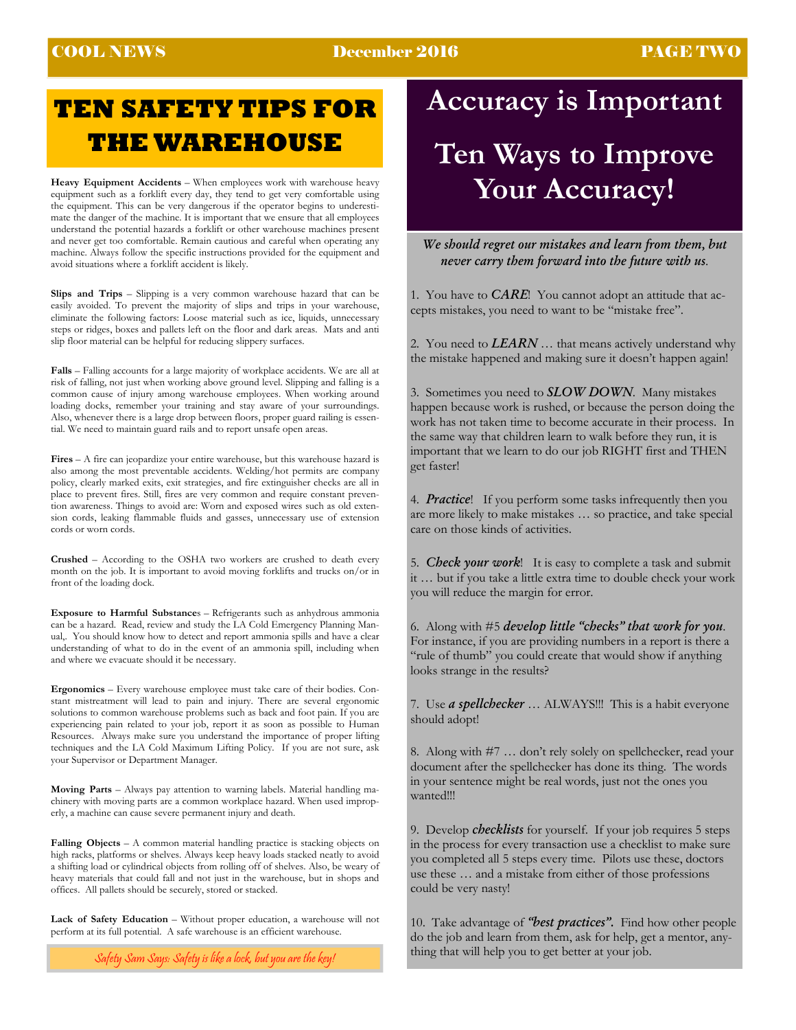### COOL NEWS December 2016 PAGE TWO

# **TEN SAFETY TIPS FOR THE WAREHOUSE**

**Heavy Equipment Accidents** – When employees work with warehouse heavy equipment such as a forklift every day, they tend to get very comfortable using the equipment. This can be very dangerous if the operator begins to underestimate the danger of the machine. It is important that we ensure that all employees understand the potential hazards a forklift or other warehouse machines present and never get too comfortable. Remain cautious and careful when operating any machine. Always follow the specific instructions provided for the equipment and avoid situations where a forklift accident is likely.

**Slips and Trips** – Slipping is a very common warehouse hazard that can be easily avoided. To prevent the majority of slips and trips in your warehouse, eliminate the following factors: Loose material such as ice, liquids, unnecessary steps or ridges, boxes and pallets left on the floor and dark areas. Mats and anti slip floor material can be helpful for reducing slippery surfaces.

**Falls** – Falling accounts for a large majority of workplace accidents. We are all at risk of falling, not just when working above ground level. Slipping and falling is a common cause of injury among warehouse employees. When working around loading docks, remember your training and stay aware of your surroundings. Also, whenever there is a large drop between floors, proper guard railing is essential. We need to maintain guard rails and to report unsafe open areas.

**Fires** – A fire can jeopardize your entire warehouse, but this warehouse hazard is also among the most preventable accidents. Welding/hot permits are company policy, clearly marked exits, exit strategies, and fire extinguisher checks are all in place to prevent fires. Still, fires are very common and require constant prevention awareness. Things to avoid are: Worn and exposed wires such as old extension cords, leaking flammable fluids and gasses, unnecessary use of extension cords or worn cords.

**Crushed** – According to the OSHA two workers are crushed to death every month on the job. It is important to avoid moving forklifts and trucks on/or in front of the loading dock.

**Exposure to Harmful Substance**s – Refrigerants such as anhydrous ammonia can be a hazard. Read, review and study the LA Cold Emergency Planning Manual,. You should know how to detect and report ammonia spills and have a clear understanding of what to do in the event of an ammonia spill, including when and where we evacuate should it be necessary.

**Ergonomics** – Every warehouse employee must take care of their bodies. Constant mistreatment will lead to pain and injury. There are several ergonomic solutions to common warehouse problems such as back and foot pain. If you are experiencing pain related to your job, report it as soon as possible to Human Resources. Always make sure you understand the importance of proper lifting techniques and the LA Cold Maximum Lifting Policy. If you are not sure, ask your Supervisor or Department Manager.

**Moving Parts** – Always pay attention to warning labels. Material handling machinery with moving parts are a common workplace hazard. When used improperly, a machine can cause severe permanent injury and death.

**Falling Objects** – A common material handling practice is stacking objects on high racks, platforms or shelves. Always keep heavy loads stacked neatly to avoid a shifting load or cylindrical objects from rolling off of shelves. Also, be weary of heavy materials that could fall and not just in the warehouse, but in shops and offices. All pallets should be securely, stored or stacked.

**Lack of Safety Education** – Without proper education, a warehouse will not perform at its full potential. A safe warehouse is an efficient warehouse.

Safety Sam Says: Safety is like a lock, but you are the key!

# **Accuracy is Important**

# **Ten Ways to Improve Your Accuracy!**

*We should regret our mistakes and learn from them, but never carry them forward into the future with us*.

1. You have to *CARE*! You cannot adopt an attitude that accepts mistakes, you need to want to be "mistake free".

2. You need to *LEARN* … that means actively understand why the mistake happened and making sure it doesn't happen again!

3. Sometimes you need to *SLOW DOWN*. Many mistakes happen because work is rushed, or because the person doing the work has not taken time to become accurate in their process. In the same way that children learn to walk before they run, it is important that we learn to do our job RIGHT first and THEN get faster!

4. *Practice*! If you perform some tasks infrequently then you are more likely to make mistakes … so practice, and take special care on those kinds of activities.

5. *Check your work*! It is easy to complete a task and submit it … but if you take a little extra time to double check your work you will reduce the margin for error.

6. Along with #5 *develop little "checks" that work for you*. For instance, if you are providing numbers in a report is there a "rule of thumb" you could create that would show if anything looks strange in the results?

7. Use *a spellchecker* … ALWAYS!!! This is a habit everyone should adopt!

8. Along with #7 … don't rely solely on spellchecker, read your document after the spellchecker has done its thing. The words in your sentence might be real words, just not the ones you wanted!!!

9. Develop *checklists* for yourself. If your job requires 5 steps in the process for every transaction use a checklist to make sure you completed all 5 steps every time. Pilots use these, doctors use these … and a mistake from either of those professions could be very nasty!

do the job and learn from them, ask for help, get a mentor, anything that will help you to get better at your job. 10. Take advantage of *"best practices".* Find how other people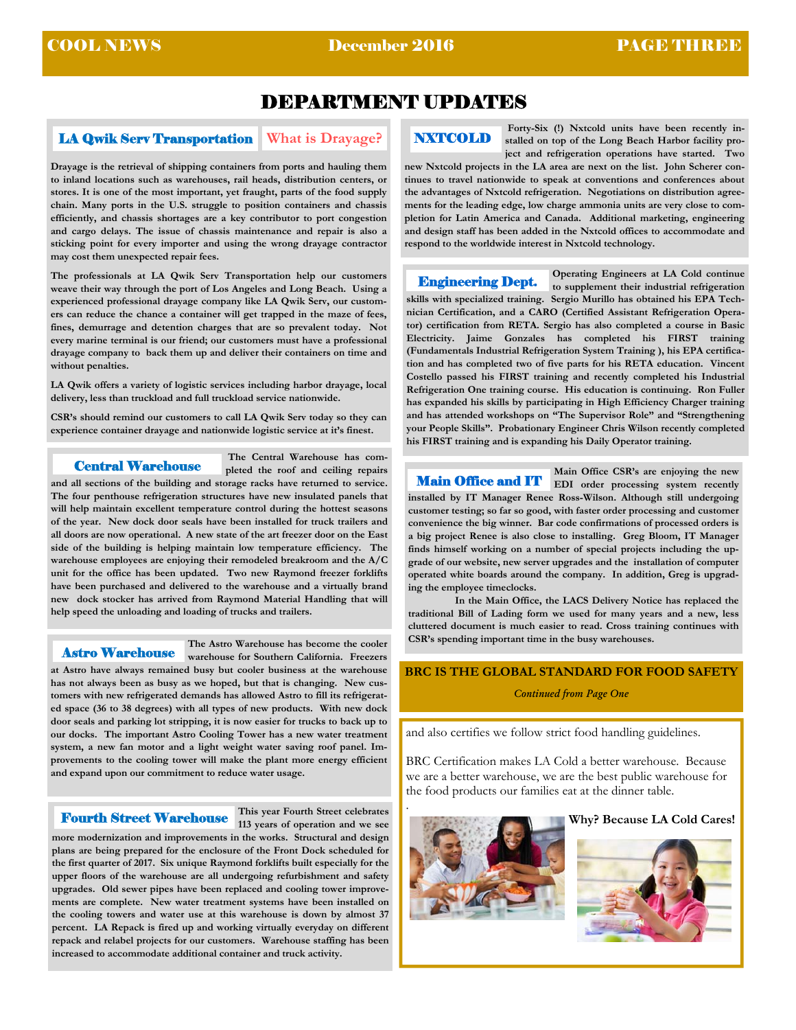## DEPARTMENT UPDATES

### **LA Qwik Serv Transportation** What is Drayage?

**Drayage is the retrieval of shipping containers from ports and hauling them to inland locations such as warehouses, rail heads, distribution centers, or stores. It is one of the most important, yet fraught, parts of the food supply chain. Many ports in the U.S. struggle to position containers and chassis efficiently, and chassis shortages are a key contributor to port congestion and cargo delays. The issue of chassis maintenance and repair is also a sticking point for every importer and using the wrong drayage contractor may cost them unexpected repair fees.** 

**The professionals at LA Qwik Serv Transportation help our customers weave their way through the port of Los Angeles and Long Beach. Using a experienced professional drayage company like LA Qwik Serv, our customers can reduce the chance a container will get trapped in the maze of fees, fines, demurrage and detention charges that are so prevalent today. Not every marine terminal is our friend; our customers must have a professional drayage company to back them up and deliver their containers on time and without penalties.** 

**LA Qwik offers a variety of logistic services including harbor drayage, local delivery, less than truckload and full truckload service nationwide.** 

**CSR's should remind our customers to call LA Qwik Serv today so they can experience container drayage and nationwide logistic service at it's finest.** 

Central Warehouse

 **The Central Warehouse has completed the roof and ceiling repairs** 

**and all sections of the building and storage racks have returned to service. The four penthouse refrigeration structures have new insulated panels that will help maintain excellent temperature control during the hottest seasons of the year. New dock door seals have been installed for truck trailers and all doors are now operational. A new state of the art freezer door on the East side of the building is helping maintain low temperature efficiency. The warehouse employees are enjoying their remodeled breakroom and the A/C unit for the office has been updated. Two new Raymond freezer forklifts have been purchased and delivered to the warehouse and a virtually brand new dock stocker has arrived from Raymond Material Handling that will help speed the unloading and loading of trucks and trailers.** 

#### Astro Warehouse

**The Astro Warehouse has become the cooler warehouse for Southern California. Freezers** 

**at Astro have always remained busy but cooler business at the warehouse has not always been as busy as we hoped, but that is changing. New customers with new refrigerated demands has allowed Astro to fill its refrigerated space (36 to 38 degrees) with all types of new products. With new dock door seals and parking lot stripping, it is now easier for trucks to back up to our docks. The important Astro Cooling Tower has a new water treatment system, a new fan motor and a light weight water saving roof panel. Improvements to the cooling tower will make the plant more energy efficient and expand upon our commitment to reduce water usage.** 

#### Fourth Street Warehouse

**This year Fourth Street celebrates 113 years of operation and we see** 

**more modernization and improvements in the works. Structural and design plans are being prepared for the enclosure of the Front Dock scheduled for the first quarter of 2017. Six unique Raymond forklifts built especially for the upper floors of the warehouse are all undergoing refurbishment and safety upgrades. Old sewer pipes have been replaced and cooling tower improvements are complete. New water treatment systems have been installed on the cooling towers and water use at this warehouse is down by almost 37 percent. LA Repack is fired up and working virtually everyday on different repack and relabel projects for our customers. Warehouse staffing has been increased to accommodate additional container and truck activity.** 

## NXTCOLD

Forty-Six (!) Nxtcold units have been recently in**stalled on top of the Long Beach Harbor facility project and refrigeration operations have started. Two** 

**new Nxtcold projects in the LA area are next on the list. John Scherer continues to travel nationwide to speak at conventions and conferences about the advantages of Nxtcold refrigeration. Negotiations on distribution agreements for the leading edge, low charge ammonia units are very close to completion for Latin America and Canada. Additional marketing, engineering and design staff has been added in the Nxtcold offices to accommodate and respond to the worldwide interest in Nxtcold technology.** 

**Operating Engineers at LA Cold continue to supplement their industrial refrigeration skills with specialized training. Sergio Murillo has obtained his EPA Technician Certification, and a CARO (Certified Assistant Refrigeration Operator) certification from RETA. Sergio has also completed a course in Basic Electricity. Jaime Gonzales has completed his FIRST training (Fundamentals Industrial Refrigeration System Training ), his EPA certification and has completed two of five parts for his RETA education. Vincent Costello passed his FIRST training and recently completed his Industrial Refrigeration One training course. His education is continuing. Ron Fuller has expanded his skills by participating in High Efficiency Charger training and has attended workshops on "The Supervisor Role" and "Strengthening your People Skills". Probationary Engineer Chris Wilson recently completed his FIRST training and is expanding his Daily Operator training.**  Engineering Dept.

**Main Office CSR's are enjoying the new EDI order processing system recently installed by IT Manager Renee Ross-Wilson. Although still undergoing customer testing; so far so good, with faster order processing and customer convenience the big winner. Bar code confirmations of processed orders is a big project Renee is also close to installing. Greg Bloom, IT Manager finds himself working on a number of special projects including the upgrade of our website, new server upgrades and the installation of computer operated white boards around the company. In addition, Greg is upgrading the employee timeclocks.**  Main Office and IT

 **In the Main Office, the LACS Delivery Notice has replaced the traditional Bill of Lading form we used for many years and a new, less cluttered document is much easier to read. Cross training continues with CSR's spending important time in the busy warehouses.** 

#### **BRC IS THE GLOBAL STANDARD FOR FOOD SAFETY**

*Continued from Page One*

and also certifies we follow strict food handling guidelines.

BRC Certification makes LA Cold a better warehouse. Because we are a better warehouse, we are the best public warehouse for the food products our families eat at the dinner table.